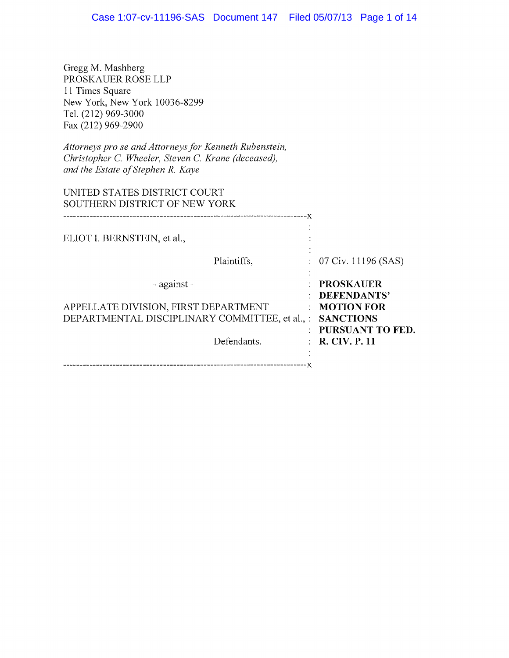Gregg M. Mashberg PROSKAUER ROSE LLP 11 Times Square New York, New York 10036-8299 Tel. (212) 969-3000 Fax (212) 969-2900

Attorneys pro se and Attorneys for Kenneth Rubenstein, Christopher C. Wheeler, Steven C. Krane (deceased), and the Estate of Stephen R. Kaye

| UNITED STATES DISTRICT COURT<br>SOUTHERN DISTRICT OF NEW YORK                                                        |                                                                                                                       |
|----------------------------------------------------------------------------------------------------------------------|-----------------------------------------------------------------------------------------------------------------------|
| ELIOT I. BERNSTEIN, et al.,                                                                                          |                                                                                                                       |
| Plaintiffs,                                                                                                          | $: 07 \,\mathrm{Civ}$ . 11196 (SAS)                                                                                   |
| - against -<br>APPELLATE DIVISION, FIRST DEPARTMENT<br>DEPARTMENTAL DISCIPLINARY COMMITTEE, et al., :<br>Defendants. | <b>PROSKAUER</b><br>DEFENDANTS'<br>$\therefore$ MOTION FOR<br><b>SANCTIONS</b><br>PURSUANT TO FED.<br>: R. CIV. P. 11 |
|                                                                                                                      |                                                                                                                       |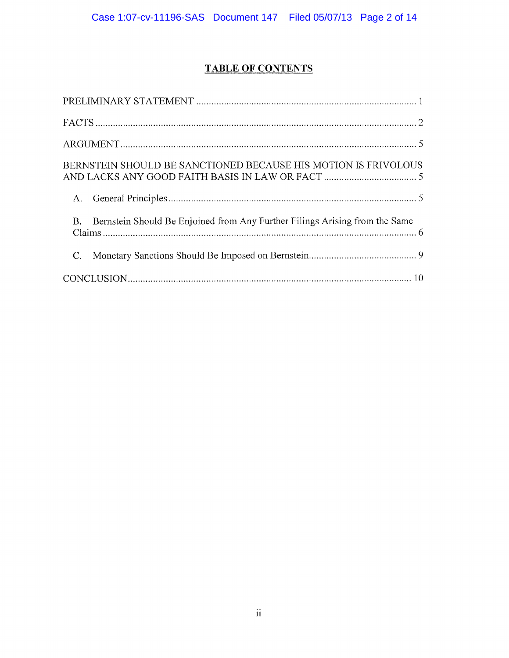# TABLE OF CONTENTS

| BERNSTEIN SHOULD BE SANCTIONED BECAUSE HIS MOTION IS FRIVOLOUS                           |
|------------------------------------------------------------------------------------------|
|                                                                                          |
| Bernstein Should Be Enjoined from Any Further Filings Arising from the Same<br><b>B.</b> |
|                                                                                          |
|                                                                                          |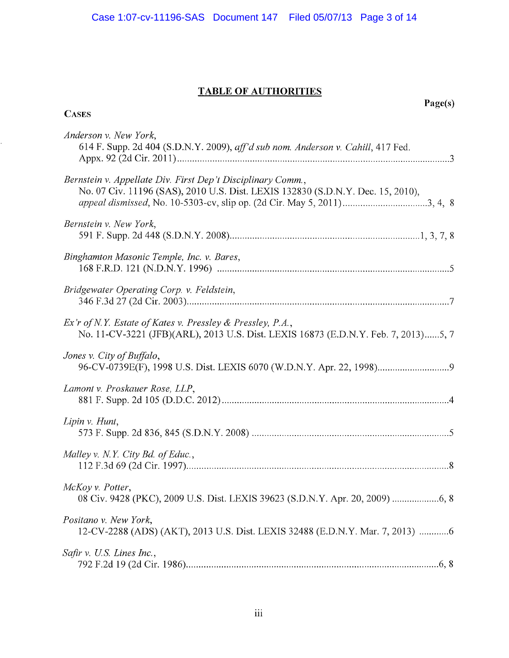## TABLE OF AUTHORITIES

**CASES** 

k,

Page(s)

| Anderson v. New York,<br>614 F. Supp. 2d 404 (S.D.N.Y. 2009), aff'd sub nom. Anderson v. Cahill, 417 Fed.                                                                                                                 |  |
|---------------------------------------------------------------------------------------------------------------------------------------------------------------------------------------------------------------------------|--|
| Bernstein v. Appellate Div. First Dep't Disciplinary Comm.,<br>No. 07 Civ. 11196 (SAS), 2010 U.S. Dist. LEXIS 132830 (S.D.N.Y. Dec. 15, 2010),<br>appeal dismissed, No. 10-5303-cv, slip op. (2d Cir. May 5, 2011)3, 4, 8 |  |
| Bernstein v. New York,                                                                                                                                                                                                    |  |
| Binghamton Masonic Temple, Inc. v. Bares,                                                                                                                                                                                 |  |
| Bridgewater Operating Corp. v. Feldstein,                                                                                                                                                                                 |  |
| Ex'r of N.Y. Estate of Kates v. Pressley & Pressley, P.A.,<br>No. 11-CV-3221 (JFB)(ARL), 2013 U.S. Dist. LEXIS 16873 (E.D.N.Y. Feb. 7, 2013)5, 7                                                                          |  |
| Jones v. City of Buffalo,                                                                                                                                                                                                 |  |
| Lamont v. Proskauer Rose, LLP,                                                                                                                                                                                            |  |
| Lipin v. Hunt,                                                                                                                                                                                                            |  |
| Malley v. N.Y. City Bd. of Educ.,                                                                                                                                                                                         |  |
| McKoy v. Potter,<br>08 Civ. 9428 (PKC), 2009 U.S. Dist. LEXIS 39623 (S.D.N.Y. Apr. 20, 2009)  6, 8                                                                                                                        |  |
| Positano v. New York,<br>12-CV-2288 (ADS) (AKT), 2013 U.S. Dist. LEXIS 32488 (E.D.N.Y. Mar. 7, 2013) 6                                                                                                                    |  |
| Safir v. U.S. Lines Inc.,                                                                                                                                                                                                 |  |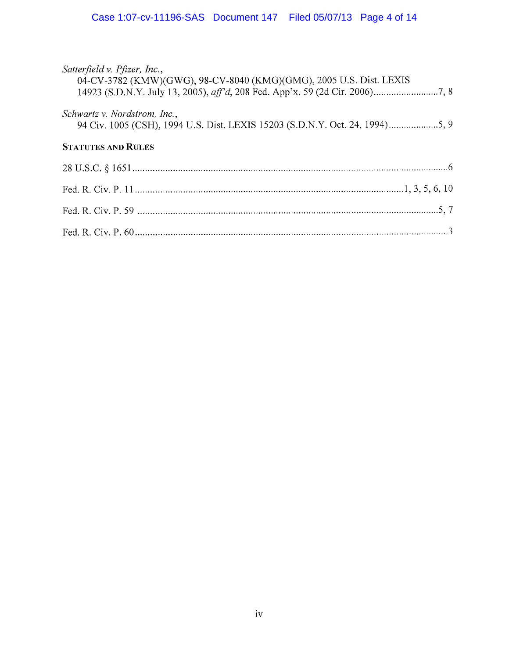| Satterfield v. Pfizer, Inc.,<br>04-CV-3782 (KMW)(GWG), 98-CV-8040 (KMG)(GMG), 2005 U.S. Dist. LEXIS          |
|--------------------------------------------------------------------------------------------------------------|
| Schwartz v. Nordstrom, Inc.,<br>94 Civ. 1005 (CSH), 1994 U.S. Dist. LEXIS 15203 (S.D.N.Y. Oct. 24, 1994)5, 9 |
| <b>STATUTES AND RULES</b>                                                                                    |
|                                                                                                              |
|                                                                                                              |
|                                                                                                              |
|                                                                                                              |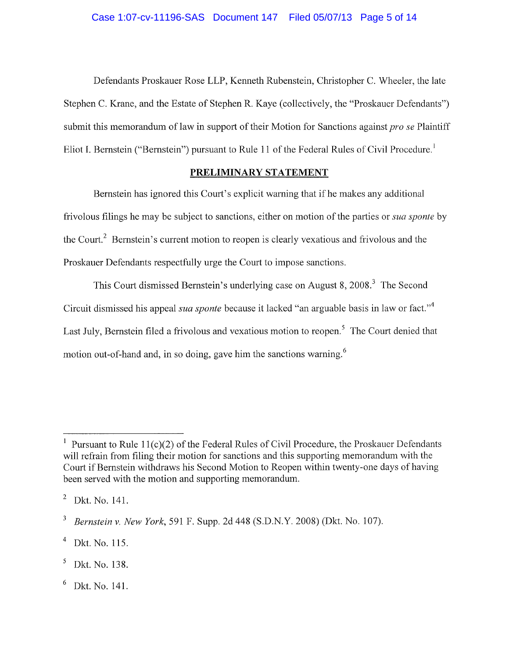Defendants Proskauer Rose LLP, Kenneth Rubenstein, Christopher C. Wheeler, the late Stephen C. Krane, and the Estate of Stephen R. Kaye (collectively, the "Proskauer Defendants") submit this memorandum of law in support of their Motion for Sanctions against *pro se* Plaintiff Eliot I. Bernstein ("Bernstein") pursuant to Rule 11 of the Federal Rules of Civil Procedure.<sup>1</sup>

#### PRELIMINARY STATEMENT

Bernstein has ignored this Court's explicit warning that if he makes any additional frivolous filings he may be subject to sanctions, either on motion of the parties or sua sponte by the Court.<sup>2</sup> Bernstein's current motion to reopen is clearly vexatious and frivolous and the Proskauer Defendants respectfully urge the Court to impose sanctions.

This Court dismissed Bernstein's underlying case on August 8, 2008.<sup>3</sup> The Second Circuit dismissed his appeal *sua sponte* because it lacked "an arguable basis in law or fact."<sup>4</sup> Last July, Bernstein filed a frivolous and vexatious motion to reopen.<sup>5</sup> The Court denied that motion out-of-hand and, in so doing, gave him the sanctions warning.<sup>6</sup>

<sup>&</sup>lt;sup>1</sup> Pursuant to Rule 11(c)(2) of the Federal Rules of Civil Procedure, the Proskauer Defendants will refrain from filing their motion for sanctions and this supporting memorandum with the Court if Bernstein withdraws his Second Motion to Reopen within twenty-one days of having been served with the motion and supporting memorandum.

 $2$  Dkt. No. 141.

 $\mathbf{3}$ Bernstein v. New York, 591 F. Supp. 2d 448 (S.D.N.Y. 2008) (Dkt. No. 107).

Dkt. No. 115.

 $<sup>5</sup>$  Dkt. No. 138.</sup>

Dkt. No. 141.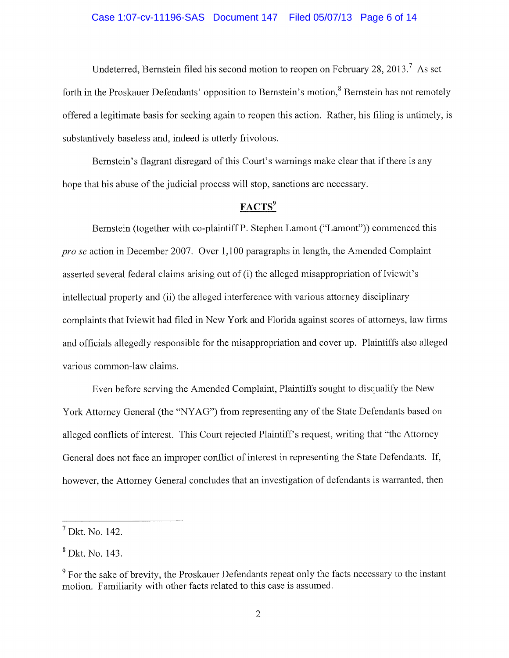#### Case 1:07-cv-11196-SAS Document 147 Filed 05/07/13 Page 6 of 14

Undeterred, Bernstein filed his second motion to reopen on February 28, 2013.<sup>7</sup> As set forth in the Proskauer Defendants' opposition to Bernstein's motion,<sup>8</sup> Bernstein has not remotely offered a legitimate basis for seeking again to reopen this action. Rather, his filing is untimely, is substantively baseless and, indeed is utterly frivolous.

Bernstein's flagrant disregard of this Court's warnings make clear that if there is any hope that his abuse of the judicial process will stop, sanctions are necessary.

### FACTS<sup>9</sup>

Bernstein (together with co-plaintiff P. Stephen Lamont ("Lamont")) commenced this pro se action in December 2007. Over 1, 100 paragraphs in length, the Amended Complaint asserted several federal claims arising out of (i) the alleged misappropriation of Iviewit's intellectual property and (ii) the alleged interference with various attorney disciplinary complaints that Iviewit had filed in New York and Florida against scores of attorneys, law firms and officials allegedly responsible for the misappropriation and cover up. Plaintiffs also alleged various common-law claims.

Even before serving the Amended Complaint, Plaintiffs sought to disqualify the New York Attorney General (the "NYAG") from representing any of the State Defendants based on alleged conflicts of interest. This Court rejected Plaintiff's request, writing that "the Attorney General does not face an improper conflict of interest in representing the State Defendants. If, however, the Attorney General concludes that an investigation of defendants is warranted, then

Dkt. No. 142.

Dkt. No. 143.

 $\frac{9}{9}$  For the sake of brevity, the Proskauer Defendants repeat only the facts necessary to the instant motion. Familiarity with other facts related to this case is assumed.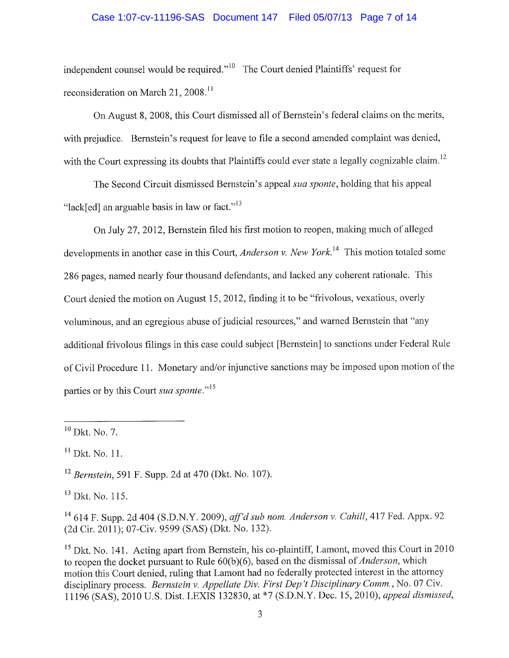#### Case 1:07-cv-11196-SAS Document 147 Filed 05/07/13 Page 7 of 14

independent counsel would be required."<sup>10</sup> The Court denied Plaintiffs' request for reconsideration on March 21, 2008.<sup>11</sup>

On August 8, 2008, this Court dismissed all of Bernstein's federal claims on the merits, with prejudice. Bernstein's request for leave to file a second amended complaint was denied, with the Court expressing its doubts that Plaintiffs could ever state a legally cognizable claim.<sup>12</sup>

The Second Circuit dismissed Bernstein's appeal sua sponte, holding that his appeal "lack[ed] an arguable basis in law or fact." $13$ 

On July 27, 2012, Bernstein filed his first motion to reopen, making much of alleged developments in another case in this Court, Anderson v. New York.<sup>14</sup> This motion totaled some 286 pages, named nearly four thousand defendants, and lacked any coherent rationale. This Court denied the motion on August 15, 2012, finding it to be "frivolous, vexatious, overly voluminous, and an egregious abuse of judicial resources, " and warned Bernstein that "any additional frivolous filings in this case could subject [Bernstein] to sanctions under Federal Rule of Civil Procedure 11. Monetary and/or injunctive sanctions may be imposed upon motion of the parties or by this Court sua sponte."<sup>15</sup>

 $12$  Bernstein, 591 F. Supp. 2d at 470 (Dkt. No. 107).

<sup>13</sup> Dkt. No. 115.

 $14$  614 F. Supp. 2d 404 (S.D.N.Y. 2009), aff'd sub nom. Anderson v. Cahill, 417 Fed. Appx. 92 (2d Cir. 2011); 07-Civ. 9599 (SAS) (Dkt. No. 132).

<sup>15</sup> Dkt. No. 141. Acting apart from Bernstein, his co-plaintiff, Lamont, moved this Court in 2010 to reopen the docket pursuant to Rule 60(b)(6), based on the dismissal of Anderson, which motion this Court denied, ruling that Lamont had no federally protected interest in the attorney disciplinary process. Bernstein v. Appellate Div. First Dep 't Disciplinary Comm. , No. 07 Civ. 11196 (SAS), 2010 U.S. Dist. LEXIS 132830, at \*7 (S.D.N.Y. Dec. 15, 2010), appeal dismissed,

 $10$  Dkt. No. 7.

 $11$  Dkt. No. 11.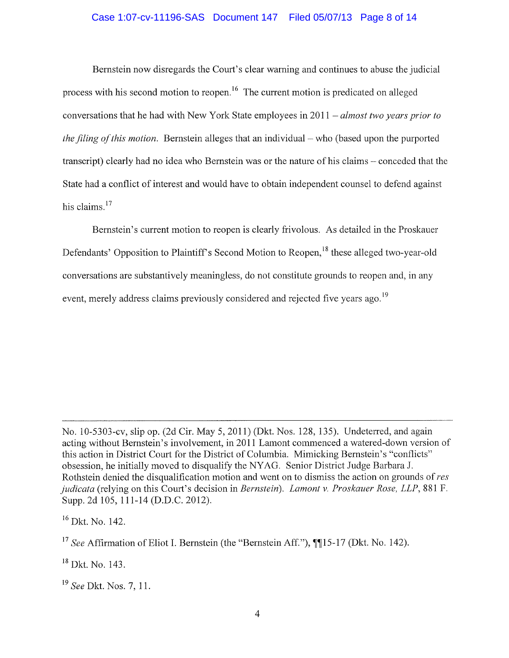#### Case 1:07-cv-11196-SAS Document 147 Filed 05/07/13 Page 8 of 14

Bernstein now disregards the Court's clear warning and continues to abuse the judicial process with his second motion to reopen.<sup>16</sup> The current motion is predicated on alleged conversations that he had with New York State employees in  $2011 - \frac{almost two years prior to}{$ the filing of this motion. Bernstein alleges that an individual – who (based upon the purported transcript) clearly had no idea who Bernstein was or the nature of his claims — conceded that the State had a conflict of interest and would have to obtain independent counsel to defend against his claims.<sup>17</sup>

Bernstein's current motion to reopen is clearly frivolous. As detailed in the Proskauer Defendants' Opposition to Plaintiff's Second Motion to Reopen,<sup>18</sup> these alleged two-year-old conversations are substantively meaningless, do not constitute grounds to reopen and, in any event, merely address claims previously considered and rejected five years ago.<sup>19</sup>

 $16$  Dkt. No. 142.

No. 10-5303-cv, slip op. (2d Cir. May 5, 2011) (Dkt. Nos. 128, 135). Undeterred, and again acting without Bernstein's involvement, in 2011 Lamont commenced a watered-down version of this action in District Court for the District of Columbia. Mimicking Bernstein's "conflicts" obsession, he initially moved to disqualify the NYAG. Senior District Judge Barbara J. Rothstein denied the disqualification motion and went on to dismiss the action on grounds of res judicata (relying on this Court's decision in Bernstein). Lamont v. Proskauer Rose, LLP, 881 F. Supp. 2d 105, 111-14 (D.D.C. 2012).

<sup>&</sup>lt;sup>17</sup> See Affirmation of Eliot I. Bernstein (the "Bernstein Aff."),  $\P$ <sup>15-17</sup> (Dkt. No. 142).

 $18$  Dkt. No. 143.

<sup>&</sup>lt;sup>19</sup> See Dkt. Nos. 7, 11.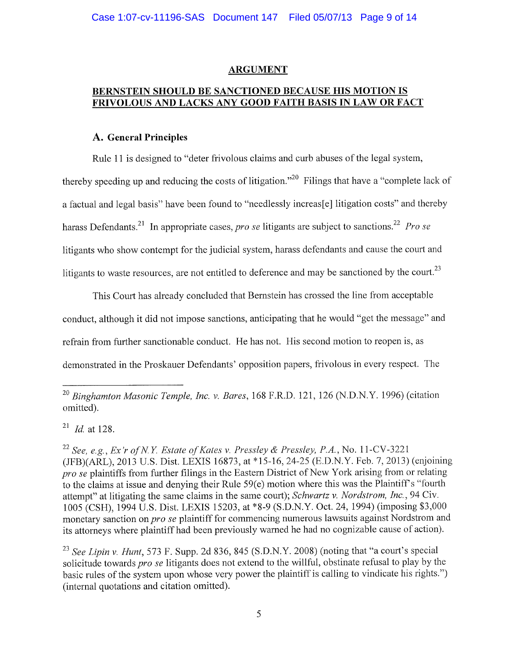#### ARGUMENT

### BERNSTEIN SHOULD BE SANCTIONED BECAUSE HIS MOTION IS FRIVOLOUS AND LACKS ANY GOOD FAITH BASIS IN LAW OR FACT

#### A. General Principles

Rule 11 is designed to "deter frivolous claims and curb abuses of the legal system, thereby speeding up and reducing the costs of litigation.<sup> $20$ </sup> Filings that have a "complete lack of a factual and legal basis" have been found to "needlessly increas[e] litigation costs" and thereby harass Defendants.<sup>21</sup> In appropriate cases, *pro se* litigants are subject to sanctions.<sup>22</sup> Pro se litigants who show contempt for the judicial system, harass defendants and cause the court and litigants to waste resources, are not entitled to deference and may be sanctioned by the court.<sup>23</sup>

This Court has already concluded that Bernstein has crossed the line from acceptable conduct, although it did not impose sanctions, anticipating that he would "get the message" and refrain from further sanctionable conduct. He has not. His second motion to reopen is, as demonstrated in the Proskauer Defendants' opposition papers, frivolous in every respect. The

 $^{21}$  *Id.* at 128.

<sup>22</sup> See, e.g., Ex'r of N.Y. Estate of Kates v. Pressley & Pressley, P.A., No. 11-CV-3221 (JFB)(ARL), 2013 U.S. Dist. LEXIS 16873, at \*15-16, 24-25 (E.D.N.Y. Feb. 7, 2013) (enjoining pro se plaintiffs from further filings in the Eastern District of New York arising from or relating to the claims at issue and denying their Rule  $59(e)$  motion where this was the Plaintiff's "fourth" attempt" at litigating the same claims in the same court); Schwartz v. Nordstrom, Inc., 94 Civ. 1005 (CSH), 1994 U.S. Dist. LEXIS 15203, at \*8-9 (S.D.N.Y. Oct. 24, 1994) (imposing \$3,000 monetary sanction on *pro se* plaintiff for commencing numerous lawsuits against Nordstrom and its attorneys where plaintiff had been previously warned he had no cognizable cause of action).

<sup>23</sup> See Lipin v. Hunt, 573 F. Supp. 2d 836, 845 (S.D.N.Y. 2008) (noting that "a court's special solicitude towards pro se litigants does not extend to the willful, obstinate refusal to play by the basic rules of the system upon whose very power the plaintiff is calling to vindicate his rights. ") (internal quotations and citation omitted).

 $^{20}$  Binghamton Masonic Temple, Inc. v. Bares, 168 F.R.D. 121, 126 (N.D.N.Y. 1996) (citation omitted).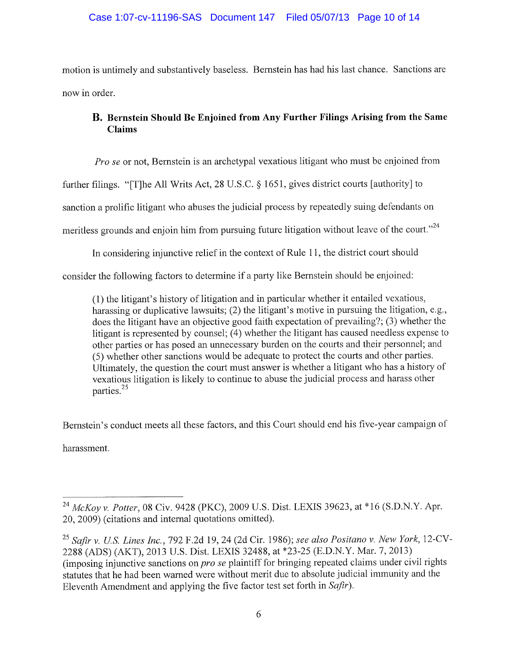motion is untimely and substantively baseless. Bernstein has had his last chance. Sanctions are now in order.

## B. Bernstein Should Be Enjoined from Any Further Filings Arising from the Same Claims

Pro se or not, Bernstein is an archetypal vexatious litigant who must be enjoined from

further filings. "[T]he All Writs Act, 28 U.S.C.  $\S$  1651, gives district courts [authority] to

sanction a prolific litigant who abuses the judicial process by repeatedly suing defendants on

meritless grounds and enjoin him from pursuing future litigation without leave of the court."<sup>24</sup>

In considering injunctive relief in the context of Rule 11, the district court should

consider the following factors to determine if a party like Bernstein should be enjoined:

 $(1)$  the litigant's history of litigation and in particular whether it entailed vexatious, harassing or duplicative lawsuits; (2) the litigant's motive in pursuing the litigation, e.g., does the litigant have an objective good faith expectation of prevailing?; (3) whether the litigant is represented by counsel; (4) whether the litigant has caused needless expense to other parties or has posed an unnecessary burden on the courts and their personnel; and (5) whether other sanctions would be adequate to protect the courts and other parties. Ultimately, the question the court must answer is whether a litigant who has a history of vexatious litigation is likely to continue to abuse the judicial process and harass other parties. <sup>25</sup>

Bernstein's conduct meets all these factors, and this Court should end his five-year campaign of

harassment.

<sup>&</sup>lt;sup>24</sup> McKoy v. Potter, 08 Civ. 9428 (PKC), 2009 U.S. Dist. LEXIS 39623, at \*16 (S.D.N.Y. Apr. 20, 2009) (citations and internal quotations omitted).

 $^{25}$  Safir v. U.S. Lines Inc., 792 F.2d 19, 24 (2d Cir. 1986); see also Positano v. New York, 12-CV-2288 (ADS) (AKT), 2013 U.S. Dist. LEXIS 32488, at \*23-25 (E.D.N.Y. Mar. 7, 2013) (imposing injunctive sanctions on pro se plaintiff for bringing repeated claims under civil rights statutes that he had been warned were without merit due to absolute judicial immunity and the Eleventh Amendment and applying the five factor test set forth in Safir).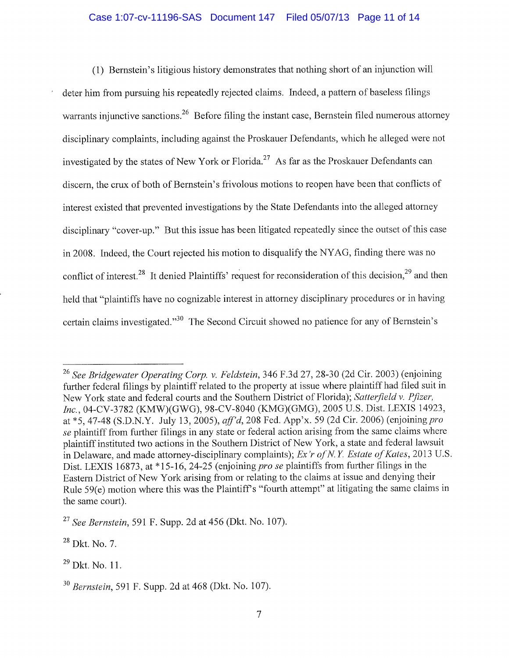#### Case 1:07-cv-11196-SAS Document 147 Filed 05/07/13 Page 11 of 14

(1) Bernstein's litigious history demonstrates that nothing short of an injunction will deter him from pursuing his repeatedly rejected claims. Indeed, a pattern of baseless filings warrants injunctive sanctions.<sup>26</sup> Before filing the instant case, Bernstein filed numerous attorney disciplinary complaints, including against the Proskauer Defendants, which he alleged were not investigated by the states of New York or Florida.<sup>27</sup> As far as the Proskauer Defendants can discern, the crux of both of Bernstein's frivolous motions to reopen have been that conflicts of interest existed that prevented investigations by the State Defendants into the alleged attorney disciplinary "cover-up." But this issue has been litigated repeatedly since the outset of this case in 2008. Indeed, the Court rejected his motion to disqualify the NYAG, finding there was no conflict of interest.<sup>28</sup> It denied Plaintiffs' request for reconsideration of this decision,<sup>29</sup> and then held that "plaintiffs have no cognizable interest in attorney disciplinary procedures or in having certain claims investigated."<sup>30</sup> The Second Circuit showed no patience for any of Bernstein's

<sup>&</sup>lt;sup>26</sup> See Bridgewater Operating Corp. v. Feldstein, 346 F.3d 27, 28-30 (2d Cir. 2003) (enjoining further federal filings by plaintiff related to the property at issue where plaintiff had filed suit in New York state and federal courts and the Southern District of Florida); Satterfield v. Pfizer, Inc. , 04-CV-3782 (KMW)(GWG), 98-CV-8040 (KMG)(GMG), 2005 U. S. Dist. LEXIS 14923, at \*5, 47-48 (S.D.N.Y. July 13, 2005), aff'd, 208 Fed. App'x. 59 (2d Cir. 2006) (enjoining pro se plaintiff from further filings in any state or federal action arising from the same claims where plaintiff instituted two actions in the Southern District of New York, a state and federal lawsuit in Delaware, and made attorney-disciplinary complaints); Ex'r of N.Y. Estate of Kates, 2013 U.S. Dist. LEXIS 16873, at \*15-16, 24-25 (enjoining pro se plaintiffs from further filings in the Eastern District of New York arising from or relating to the claims at issue and denying their Rule 59(e) motion where this was the Plaintiff's "fourth attempt" at litigating the same claims in the same court).

 $27$  See Bernstein, 591 F. Supp. 2d at 456 (Dkt. No. 107).

<sup>&</sup>lt;sup>28</sup> Dkt. No. 7.

 $29$  Dkt. No. 11.

Bernstein, 591 F. Supp. 2d at 468 (Dkt. No. 107).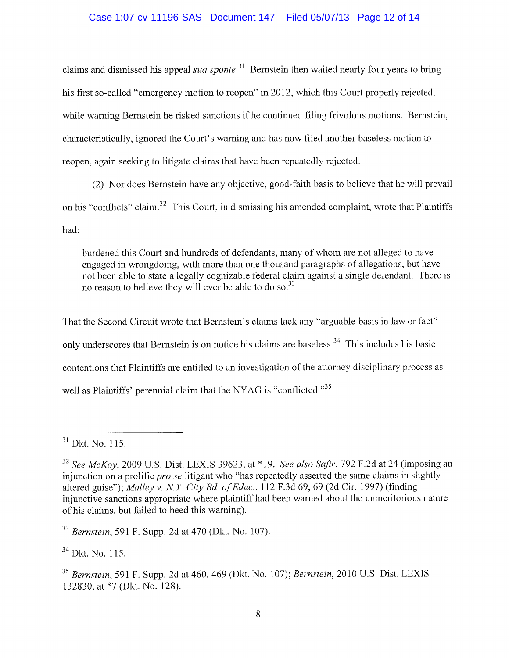claims and dismissed his appeal *sua sponte*.<sup>31</sup> Bernstein then waited nearly four years to bring his first so-called "emergency motion to reopen" in 2012, which this Court properly rejected, while warning Bernstein he risked sanctions if he continued filing frivolous motions. Bernstein, characteristically, ignored the Court's warning and has now filed another baseless motion to reopen, again seeking to litigate claims that have been repeatedly rejected.

(2) Nor does Bernstein have any objective, good-faith basis to believe that he will prevail on his "conflicts" claim.<sup>32</sup> This Court, in dismissing his amended complaint, wrote that Plaintiffs had:

burdened this Court and hundreds of defendants, many of whom are not alleged to have engaged in wrongdoing, with more than one thousand paragraphs of allegations, but have not been able to state a legally cognizable federal claim against a single defendant. There is not been able to state a legarly cognizable lederal clare<br>no reason to believe they will ever be able to do so.<sup>33</sup>

That the Second Circuit wrote that Bernstein's claims lack any "arguable basis in law or fact" only underscores that Bernstein is on notice his claims are baseless.<sup>34</sup> This includes his basic contentions that Plaintiffs are entitled to an investigation of the attorney disciplinary process as well as Plaintiffs' perennial claim that the NYAG is "conflicted."<sup>35</sup>

 $33$  Bernstein, 591 F. Supp. 2d at 470 (Dkt. No. 107).

 $34$  Dkt. No. 115.

 $31$  Dkt. No. 115.

 $32$  See McKov, 2009 U.S. Dist. LEXIS 39623, at \*19. See also Safir, 792 F.2d at 24 (imposing an injunction on a prolific *pro se* litigant who "has repeatedly asserted the same claims in slightly altered guise"); Malley v. N.Y. City Bd. of Educ., 112 F.3d 69, 69 (2d Cir. 1997) (finding injunctive sanctions appropriate where plaintiff had been warned about the unmeritorious nature of his claims, but failed to heed this warning).

<sup>&</sup>lt;sup>35</sup> Bernstein, 591 F. Supp. 2d at 460, 469 (Dkt. No. 107); Bernstein, 2010 U.S. Dist. LEXIS 132830, at \*7 (Dkt. No. 128).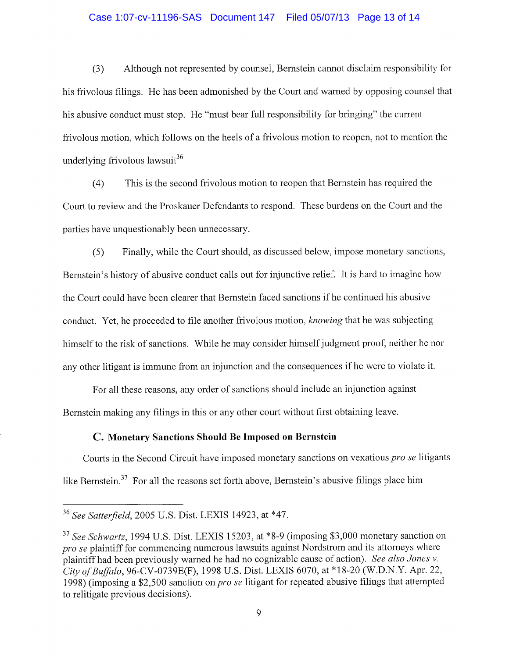#### Case 1:07-cv-11196-SAS Document 147 Filed 05/07/13 Page 13 of 14

(3) Although not represented by counsel, Bernstein cannot disclaim responsibility for his frivolous filings. He has been admonished by the Court and warned by opposing counsel that his abusive conduct must stop. He "must bear full responsibility for bringing" the current frivolous motion, which follows on the heels of a frivolous motion to reopen, not to mention the underlying frivolous lawsuit $^{36}$ 

(4) This is the second frivolous motion to reopen that Bernstein has required the Court to review and the Proskauer Defendants to respond. These burdens on the Court and the paries have unquestionably been unnecessary.

(5) Finally, while the Court should, as discussed below, impose monetary sanctions, Bernstein's history of abusive conduct calls out for injunctive relief. It is hard to imagine how the Court could have been clearer that Bernstein faced sanctions if he continued his abusive conduct. Yet, he proceeded to file another frivolous motion, knowing that he was subjecting himself to the risk of sanctions. While he may consider himself judgment proof, neither he nor any other litigant is immune from an injunction and the consequences if he were to violate it.

For all these reasons, any order of sanctions should include an injunction against Bernstein making any filings in this or any other court without first obtaining leave.

#### C. Monetary Sanctions Should Be Imposed on Bernstein

Courts in the Second Circuit have imposed monetary sanctions on vexatious pro se litigants like Bernstein.<sup>37</sup> For all the reasons set forth above, Bernstein's abusive filings place him

<sup>&</sup>lt;sup>36</sup> See Satterfield, 2005 U.S. Dist. LEXIS 14923, at \*47.

 $37$  See Schwartz, 1994 U.S. Dist. LEXIS 15203, at \*8-9 (imposing \$3,000 monetary sanction on pro se plaintiff for commencing numerous lawsuits against Nordstrom and its attorneys where plaintiff had been previously warned he had no cognizable cause of action). See also Jones v. City of Buffalo, 96-CV-0739E(F), 1998 U.S. Dist. LEXIS 6070, at \*18-20 (W.D.N.Y. Apr. 22, 1998) (imposing a \$2,500 sanction on *pro se* litigant for repeated abusive filings that attempted to relitigate previous decisions).